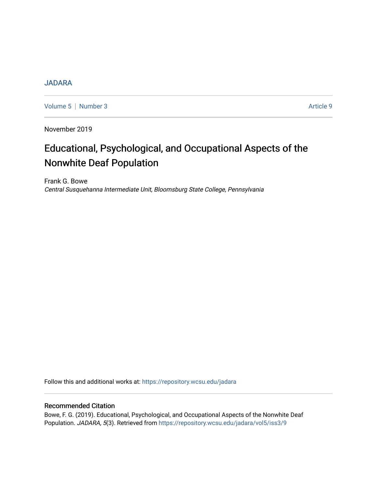## **[JADARA](https://repository.wcsu.edu/jadara)**

[Volume 5](https://repository.wcsu.edu/jadara/vol5) | [Number 3](https://repository.wcsu.edu/jadara/vol5/iss3) Article 9

November 2019

# Educational, Psychological, and Occupational Aspects of the Nonwhite Deaf Population

Frank G. Bowe Central Susquehanna Intermediate Unit, Bloomsburg State College, Pennsylvania

Follow this and additional works at: [https://repository.wcsu.edu/jadara](https://repository.wcsu.edu/jadara?utm_source=repository.wcsu.edu%2Fjadara%2Fvol5%2Fiss3%2F9&utm_medium=PDF&utm_campaign=PDFCoverPages)

## Recommended Citation

Bowe, F. G. (2019). Educational, Psychological, and Occupational Aspects of the Nonwhite Deaf Population. JADARA, 5(3). Retrieved from [https://repository.wcsu.edu/jadara/vol5/iss3/9](https://repository.wcsu.edu/jadara/vol5/iss3/9?utm_source=repository.wcsu.edu%2Fjadara%2Fvol5%2Fiss3%2F9&utm_medium=PDF&utm_campaign=PDFCoverPages)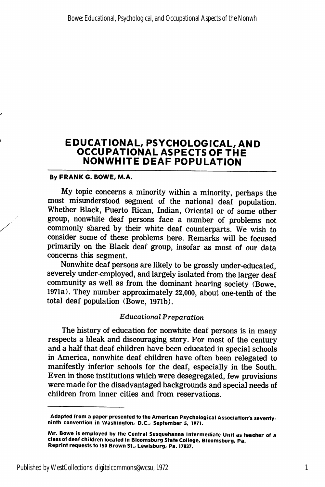## EDUCATIONAL, PSYCHOLOGICAL, AND OCCUPATIONAL ASPECTS OF THE NONWHITE DEAF POPULATION

### By FRANK G. BOWE, M.A.

My topic concerns a minority within a minority, perhaps the most misunderstood segment of the national deaf population. Whether Black, Puerto Rican, Indian, Oriental or of some other group, nonwhite deaf persons face a number of problems not commonly shared by their white deaf counterparts. We wish to consider some of these problems here. Remarks will be focused primarily on the Black deaf group, insofar as most of our data concerns this segment.

Nonwhite deaf persons are likely to be grossly under-educated, severely under-employed, and largely isolated from the larger deaf community as well as from the dominant hearing society (Bowe, 1971a). They number approximately 22,000, about one-tenth of the total deaf population (Bowe, 1971b).

### Educational Preparation

The history of education for nonwhite deaf persons is in many respects a bleak and discouraging story. For most of the century and a half that deaf children have been educated in special schools in America, nonwhite deaf children have often been relegated to manifestly inferior schools for the deaf, especially in the South. Even in those institutions which were desegregated, few provisions were made for the disadvantaged backgrounds and special needs of children from inner cities and from reservations.

Adapted from a paper presented to the American Psychological Association's seventyninth convention in Washington, D.C., September 5, 1971.

Mr. Bowe is employed by the Central Susquehanna Intermediate Unit as teacher of a class of deaf children located in Bloomsburg State College, Bloomsburg, Pa. Reprint requests to 150 Brown St., Lewisburg, Pa. 17837.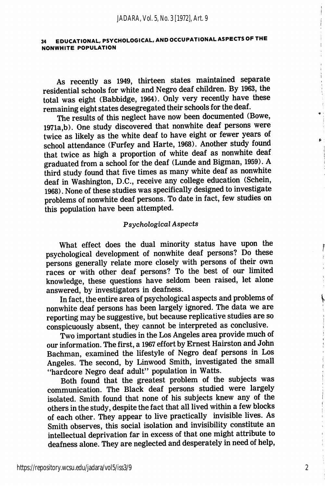### 34 EDUCATIONAL. PSYCHOLOGICAL, AND OCCUPATIONAL ASPECTS OF THE NONWHITE POPULATION

As recently as 1949, thirteen states maintained separate residential schools for white and Negro deaf children. By 1963, the total was eight (Babbidge, 1964). Only very recently have these remaining eight states desegregated their schools for the deaf.

The results of this neglect have now been documented (Bowe, 1971a ,b). One study discovered that nonwhite deaf persons were twice as likely as the white deaf to have eight or fewer years of school attendance (Furfey and Harte, 1968). Another stud^y found that twice as high a proportion of white deaf as nonwhite deaf graduated from a school for the deaf (Lunde and Bigman, 1959). A third study found that five times as many white deaf as nonwhite deaf in Washington, D.C., receive any college education (Schein, 1968). None of these studies was specifically designed to investigate problems of nonwhite deaf persons. To date in fact, few studies on this population have been attempted.

### Psychological Aspects

What effect does the dual minority status have upon the psychological development of nonwhite deaf persons? Do these persons generally relate more closely with persons of their own races or with other deaf persons? To the best of our limited knowledge, these questions have seldom been raised, let alone answered, by investigators in deafness.

In fact, the entire area of psychological aspects and problems of nonwhite deaf persons has been largely ignored. The data we are reporting may be suggestive, but because replicative studies are so conspicuously absent, they cannot be interpreted as conclusive.

Two important studies in the Los Angeles area provide much of our information. The first, a 1967 effort by Ernest Hairston and John Bachman, examined the lifestyle of Negro deaf persons in Los Angeles. The second, by Linwood Smith, investigated the small "hardcore Negro deaf adult" population in Watts.

Both found that the greatest problem of the subjects was communication. The Black deaf persons studied were largely isolated. Smith found that none of his subjects knew any of the others in the study, despite the fact that all lived within a few blocks of each other. They appear to live practically invisible lives. As Smith observes, this social isolation and invisibility constitute an intellectual deprivation far in excess of that one might attribute to deafness alone. They are neglected and desperately in need of help.

2

Ĭ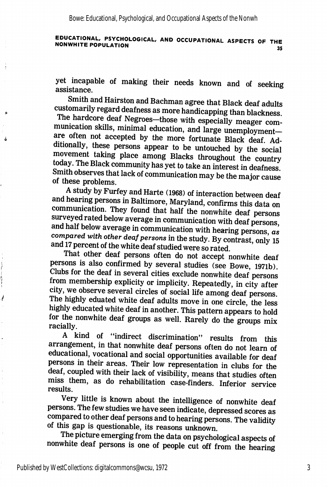# EDUCATIONAL, PSYCHOLOGICAL, AND OCCUPATIONAL ASPECTS OF THE<br>35 ספר OPULATION

yet incapable of making their needs known and of seeking assistance.

Smith and Hairston and Bachman agree that Black deaf adults customarily regard deafness as more handicapping than blackness.

The hardcore deaf Negroes—those with especially meager com munication skills, minimal education, and large unemployment are often not accepted by the more fortunate Black deaf. Additionally, these persons appear to be untouched by the social movement taking place among Blacks throughout the country today. The Black community has yet to take an interest in deafness Smith observes that lack of communication may be the major cause of these problems.

A study by Furfey and Harte (1968) of interaction between deaf and hearing persons in Baltimore, Maryland, confirms this data on communication. They found that half the nonwhite deaf persons surveyed rated below average in communication with deaf persons and half below average in communication with hearing persons,  $as$ compared with other deaf persons in the study. By contrast, only 15 and 17 percent of the white deaf studied were so rated.

That other deaf persons often do not accept nonwhite deaf persons is also confirmed by several studies (see Bowe, I97ib). Clubs for the deaf in several cities exclude nonwhite deaf persons from membership explicity or implicity. Repeatedly, in city after city, we observe several circles of social life among deaf persons. The highly eduated white deaf adults move in one circle, the less highly educated white deaf in another. This pattern appears to hold for the nonwhite deaf groups as well. Rarely do the groups mix racially.

A kind of "indirect discrimination" results from this arrangement, in that nonwhite deaf persons often do not learn of educational, vocational and social opportunities available for deaf persons in their areas. Their low representation in clubs for the deaf, coupled with their lack of visibility, means that studies often miss them, as do rehabilitation case-finders. Inferior service results.

Very little is known about the intelligence of nonwhite deaf persons. The few studies we have seen indicate, depressed scores as compared to other deaf persons and to hearing persons. The validity of this gap is questionable, its reasons unknown.

The picture emerging from the data on psychological aspects of nonwhite deaf persons is one of people cut off from the hearing

计算法

1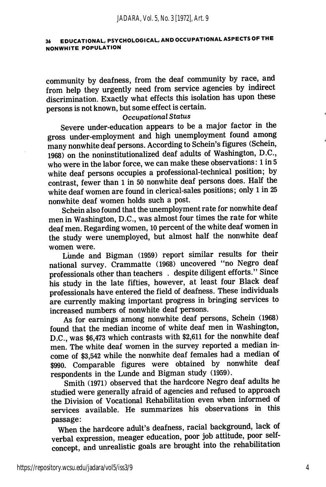## 36 EDUCATIONAL, PSYCHOLOGICAL, AND OCCUPATIONAL ASPECTS OF THE NONWHITE POPULATION

community by deafness, from the deaf community by race, and from help they urgently need from service agencies by indirect discrimination. Exactly what effects this isolation has upon these persons is not known, but some effect is certain.

### Occupational Status

Severe under-education appears to be a major factor in the gross under-employment and high unemployment found among many nonwhite deaf persons. According to Schein's figures (Schein, 1968) on the noninstitutionalized deaf adults of Washington, D.C., who were in the labor force, we can make these observations: 1 in 5 white deaf persons occupies a professional-technical position; by contrast, fewer than 1 in 50 nonwhite deaf persons does. Half the white deaf women are found in clerical-sales positions; only 1 in 25 nonwhite deaf women holds such a post.

Schein also found that the unemployment rate for nonwhite deaf men in Washington, D.C., was almost four times the rate for white deaf men. Regarding women, 10 percent of the white deaf women in the study were unemployed, but almost half the nonwhite deaf women were.

Lunde and Bigman (1959) report similar results for their national survey. Crammatte (1968) uncovered "no Negro deaf professionals other than teachers . despite diligent efforts." Since his study in the late fifties, however, at least four Black deaf professionals have entered the field of deafness. These individuals are currently making important progress in bringing services to increased numbers of nonwhite deaf persons.

As for earnings among nonwhite deaf persons, Schein (1968) found that the median income of white deaf men in Washington, D.C., was \$6,473 which contrasts with \$2,611 for the nonwhite deaf men. The white deaf women in the survey reported a median in come of \$3,542 while the nonwhite deaf females had a median of \$990. Comparable figures were obtained by nonwhite deaf respondents in the Lunde and Bigman study (1959).

Smith (1971) observed that the hardcore Negro deaf adults he studied were generally afraid of agencies and refused to approach the Division of Vocational Rehabilitation even when informed of services available. He summarizes his observations in this passage:

When the hardcore adult's deafness, racial background, lack of verbal expression, meager education, poor job attitude, poor selfconcept, and unrealistic goals are brought into the rehabilitation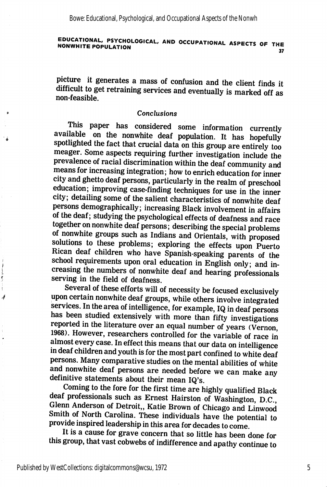#### EDUCATIONAL, PSYCHOLOGICAL, AND OCCUPATIONAL ASPECTS OF THE NONWHITE POPULATION 37

picture it generates a mass of confusion and the client finds it difficult to get retraining services and eventually is marked off as non-feasible.

### Conclusions

This paper has considered some information currently available on the nonwhite deaf population. It has hopefully spotlighted the fact that crucial data on this group are entirely too meager. Some aspects requiring further investigation include the prevalence of racial discrimination within the deaf community and means for increasing integration; how to enrich education for inner city and ghetto deaf persons, particularly in the realm of preschool education; improving case-finding techniques for use in the inner city; detailing some of the salient characteristics of nonwhite deaf persons demographically; increasing Black involvement in affairs of the deaf; studying the psychological effects of deafness and race together on nonwhite deaf persons; describing the special problems of nonwhite groups such as Indians and Orientals, with proposed solutions to these problems; exploring the effects upon Puerto Rican deaf children who have Spanish-speaking parents of the school requirements upon oral education in English only; and increasing the numbers of nonwhite deaf and hearing professionals serving in the field of deafness.

Several of these efforts will of necessity be focused exclusively upon certain nonwhite deaf groups, while others involve integrated services. In the area of intelligence, for example, IQ in deaf persons has been studied extensively with more than fifty investigations reported in the literature over an equal number of years (Vernon, 1968). However, researchers controlled for the variable of race in almost every case. In effect this means that our data on intelligence in deaf children and youth is for the most part confined to white deaf persons. Many comparative studies on the mental abilities of white and nonwhite deaf persons are needed before we can make any definitive statements about their mean IQ's.

Coming to the fore for the first time are highly qualified Black deaf professionals such as Ernest Hairston of Washington, D.C., Glenn Anderson of Detroit,, Katie Brown of Chicago and Linwood Smith of North Carolina. These individuals have the potential to provide inspired leadership in this area for decades to come.

It is a cause for grave concern that so little has been done for this group, that vast cobwebs of indifference and apathy continue to

 $\frac{1}{2}$ 

4

5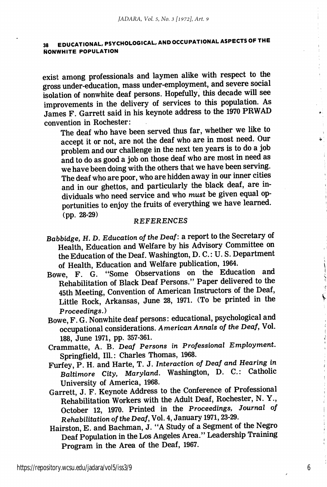## 38 EDUCATIONAL, PSYCHOLOGICAL, AND OCCUPATIONAL ASPECTS OF THE NONWHITE POPULATION

exist among professionals and laymen alike with respect to the gross under-education, mass under-employment, and severe social isolation of nonwhite deaf persons. Hopefully, this decade will see improvements in the delivery of services to this population. As James F. Garrett said in his keynote address to the 1970 PRWAD convention in Rochester:

The deaf who have been served thus far, whether we like to accept it or not, are not the deaf who are in most need. Our problem and our challenge in the next ten years is to do a job and to do as good a job on those deaf who are most in need as we have been doing with the others that we have been serving. The deaf who are poor, who are hidden away in our inner cities and in our ghettos, and particularly the black deaf, are in dividuals who need service and who must be given equal op portunities to enjoy the fruits of everything we have learned. (pp. 28-29)

### **REFERENCES**

- Babbidge, H. D. Education of the Deaf: a report to the Secretary of Health, Education and Welfare by his Advisory Committee on the Education of the Deaf. Washington, D. C.: U.S. Department of Health, Education and Welfare publication, 1964.
- Bowe, F. G. "Some Observations on the Education and Rehabilitation of Black Deaf Persons." Paper delivered to the 45th Meeting, Convention of American Instructors of the Deaf, Little Rock, Arkansas, June 28, 1971. (To be printed in the Proceedings.)
- Bowe, F. G. Nonwhite deaf persons: educational, psychological and occupational considerations. American Annals of the Deaf, Vol. 188, June 1971, pp. 357-361.
- Crammatte, A. B. Deaf Persons in Professional Employment. Springfield, 111.: Charles Thomas, 1968.
- Furfey, P. H. and Harte, T. J. Interaction of Deaf and Hearing in Baltimore City, Maryland. Washington, D. C.: Catholic University of America, 1968.
- Garrett, J. F. Keynote Address to the Conference of Professional Rehabilitation Workers with the Adult Deaf, Rochester, N. Y., October 12, 1970. Printed in the Proceedings, Journal of Rehabilitation of the Deaf, Vol. 4, January 1971,23-29.
- Hairston, E. and Bachman, J. "A Study of a Segment of the Negro Deaf Population in the Los Angeles Area." Leadership Training Program in the Area of the Deaf, 1967.

6

١